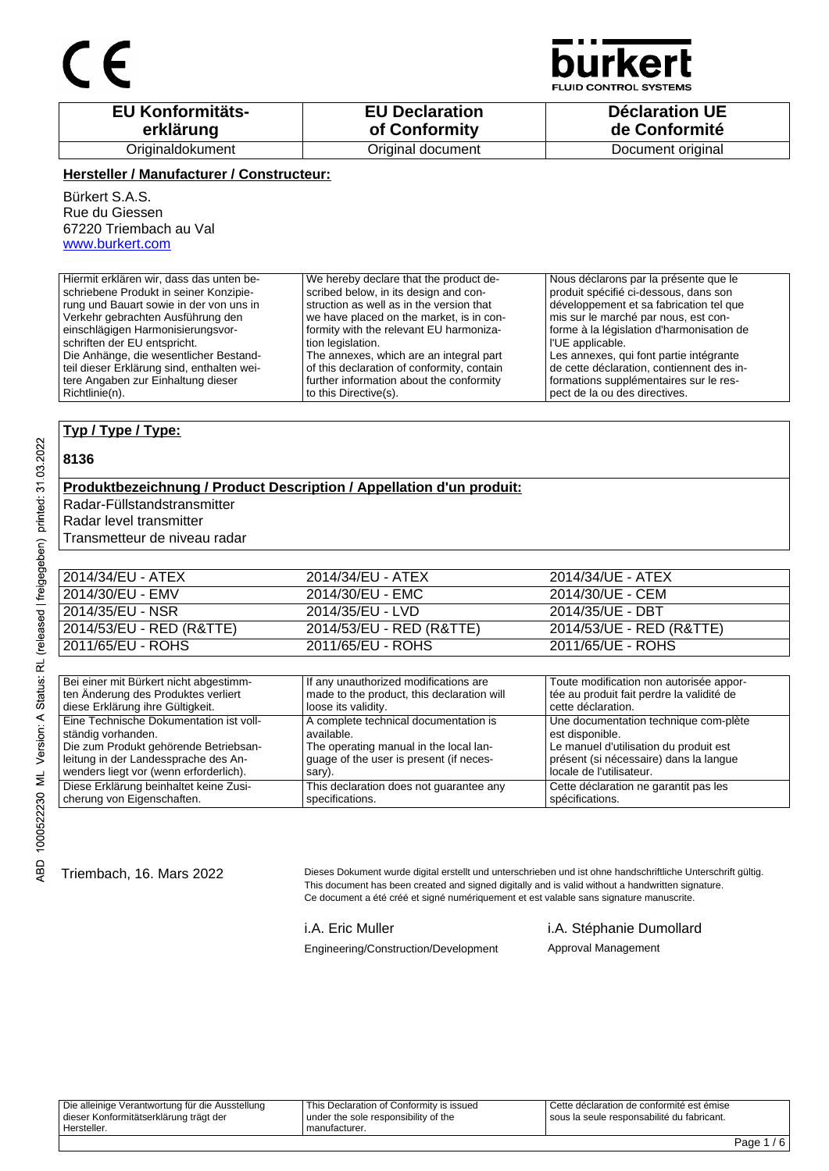### $\epsilon$



**FLUID CONTROL SYSTEMS** 

| <b>EU Konformitäts-</b> | <b>EU Declaration</b> | <b>Déclaration UE</b> |
|-------------------------|-----------------------|-----------------------|
| erklärung               | of Conformity         | de Conformité         |
| Originaldokument        | Original document     | Document original     |

#### **Hersteller / Manufacturer / Constructeur:**

Bürkert S.A.S. Rue du Giessen 67220 Triembach au Val www.burkert.com

| Hiermit erklären wir, dass das unten be-   | We hereby declare that the product de-     | Nous déclarons par la présente que le     |
|--------------------------------------------|--------------------------------------------|-------------------------------------------|
| schriebene Produkt in seiner Konzipie-     | scribed below, in its design and con-      | produit spécifié ci-dessous, dans son     |
| rung und Bauart sowie in der von uns in    | struction as well as in the version that   | développement et sa fabrication tel que   |
| Verkehr gebrachten Ausführung den          | we have placed on the market, is in con-   | mis sur le marché par nous, est con-      |
| einschlägigen Harmonisierungsvor-          | formity with the relevant EU harmoniza-    | forme à la législation d'harmonisation de |
| schriften der EU entspricht.               | tion legislation.                          | l'UE applicable.                          |
| Die Anhänge, die wesentlicher Bestand-     | The annexes, which are an integral part    | Les annexes, qui font partie intégrante   |
| teil dieser Erklärung sind, enthalten wei- | of this declaration of conformity, contain | de cette déclaration, contiennent des in- |
| tere Angaben zur Einhaltung dieser         | further information about the conformity   | formations supplémentaires sur le res-    |
| l Richtlinie(n).                           | to this Directive(s).                      | pect de la ou des directives.             |

#### **Typ / Type / Type:**

#### **8136**

#### **Produktbezeichnung / Product Description / Appellation d'un produit:**

Radar-Füllstandstransmitter

Radar level transmitter

Transmetteur de niveau radar

| 2014/34/EU - ATEX        | 2014/34/EU - ATEX        | 2014/34/UE - ATEX        |
|--------------------------|--------------------------|--------------------------|
| 2014/30/EU - EMV         | 2014/30/EU - EMC         | 2014/30/UE - CEM         |
| 2014/35/EU - NSR         | 2014/35/EU - LVD         | 2014/35/UE - DBT         |
| 2014/53/EU - RED (R&TTE) | 2014/53/EU - RED (R&TTE) | 2014/53/UE - RED (R&TTE) |
| 2011/65/EU - ROHS        | 2011/65/EU - ROHS        | 2011/65/UE - ROHS        |

| Bei einer mit Bürkert nicht abgestimm-  | If any unauthorized modifications are      | Toute modification non autorisée appor-   |
|-----------------------------------------|--------------------------------------------|-------------------------------------------|
| ten Änderung des Produktes verliert     | made to the product, this declaration will | tée au produit fait perdre la validité de |
| diese Erklärung ihre Gültigkeit.        | loose its validity.                        | cette déclaration.                        |
| Eine Technische Dokumentation ist voll- | A complete technical documentation is      | Une documentation technique com-plète     |
| ständig vorhanden.                      | available.                                 | est disponible.                           |
| Die zum Produkt gehörende Betriebsan-   | The operating manual in the local lan-     | Le manuel d'utilisation du produit est    |
| leitung in der Landessprache des An-    | guage of the user is present (if neces-    | présent (si nécessaire) dans la langue    |
| wenders liegt vor (wenn erforderlich).  | sary).                                     | locale de l'utilisateur.                  |
| Diese Erklärung beinhaltet keine Zusi-  | This declaration does not quarantee any    | Cette déclaration ne garantit pas les     |
| cherung von Eigenschaften.              | specifications.                            | spécifications.                           |

Triembach, 16. Mars 2022 Dieses Dokument wurde digital erstellt und unterschrieben und ist ohne handschriftliche Unterschrift gültig. This document has been created and signed digitally and is valid without a handwritten signature. Ce document a été créé et signé numériquement et est valable sans signature manuscrite.

Engineering/Construction/Development Approval Management

#### i.A. Eric Muller i.A. Stéphanie Dumollard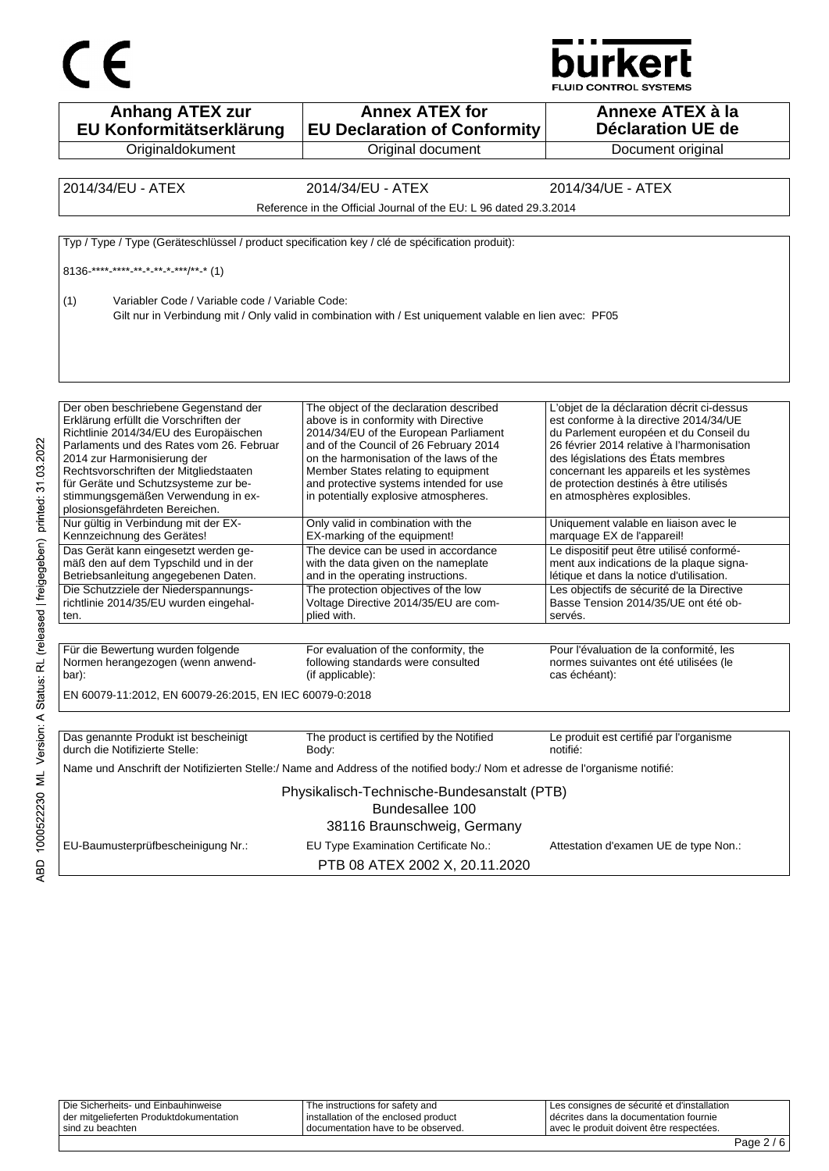



| <b>Anhang ATEX zur</b><br>EU Konformitätserklärung                                                      | <b>Annex ATEX for</b><br><b>EU Declaration of Conformity</b>                                                                 | Annexe ATEX à la<br>Déclaration UE de                                          |
|---------------------------------------------------------------------------------------------------------|------------------------------------------------------------------------------------------------------------------------------|--------------------------------------------------------------------------------|
| Originaldokument                                                                                        | Original document                                                                                                            | Document original                                                              |
|                                                                                                         |                                                                                                                              |                                                                                |
| 2014/34/EU - ATEX                                                                                       | 2014/34/EU - ATEX                                                                                                            | 2014/34/UE - ATEX                                                              |
|                                                                                                         | Reference in the Official Journal of the EU: L 96 dated 29.3.2014                                                            |                                                                                |
|                                                                                                         | Typ / Type / Type (Geräteschlüssel / product specification key / clé de spécification produit):                              |                                                                                |
|                                                                                                         |                                                                                                                              |                                                                                |
| $8136$ <sup>****</sup> -**** <sub>-</sub> ** * <sub>-</sub> ** * <sub>-</sub> ***/** <sub>-</sub> * (1) |                                                                                                                              |                                                                                |
| (1)<br>Variabler Code / Variable code / Variable Code:                                                  |                                                                                                                              |                                                                                |
|                                                                                                         | Gilt nur in Verbindung mit / Only valid in combination with / Est uniquement valable en lien avec: PF05                      |                                                                                |
|                                                                                                         |                                                                                                                              |                                                                                |
|                                                                                                         |                                                                                                                              |                                                                                |
|                                                                                                         |                                                                                                                              |                                                                                |
|                                                                                                         |                                                                                                                              |                                                                                |
| Der oben beschriebene Gegenstand der                                                                    | The object of the declaration described                                                                                      | L'objet de la déclaration décrit ci-dessus                                     |
| Erklärung erfüllt die Vorschriften der                                                                  | above is in conformity with Directive                                                                                        | est conforme à la directive 2014/34/UE                                         |
| Richtlinie 2014/34/EU des Europäischen                                                                  | 2014/34/EU of the European Parliament                                                                                        | du Parlement européen et du Conseil du                                         |
| Parlaments und des Rates vom 26. Februar                                                                | and of the Council of 26 February 2014                                                                                       | 26 février 2014 relative à l'harmonisation                                     |
| 2014 zur Harmonisierung der<br>Rechtsvorschriften der Mitgliedstaaten                                   | on the harmonisation of the laws of the<br>Member States relating to equipment                                               | des législations des États membres<br>concernant les appareils et les systèmes |
| für Geräte und Schutzsysteme zur be-                                                                    | and protective systems intended for use                                                                                      | de protection destinés à être utilisés                                         |
| stimmungsgemäßen Verwendung in ex-                                                                      | in potentially explosive atmospheres.                                                                                        | en atmosphères explosibles.                                                    |
| plosionsgefährdeten Bereichen.                                                                          |                                                                                                                              |                                                                                |
| Nur gültig in Verbindung mit der EX-                                                                    | Only valid in combination with the                                                                                           | Uniquement valable en liaison avec le                                          |
| Kennzeichnung des Gerätes!                                                                              | EX-marking of the equipment!                                                                                                 | marquage EX de l'appareil!                                                     |
| Das Gerät kann eingesetzt werden ge-                                                                    | The device can be used in accordance                                                                                         | Le dispositif peut être utilisé conformé-                                      |
| mäß den auf dem Typschild und in der                                                                    | with the data given on the nameplate                                                                                         | ment aux indications de la plaque signa-                                       |
| Betriebsanleitung angegebenen Daten.                                                                    | and in the operating instructions.                                                                                           | létique et dans la notice d'utilisation.                                       |
| Die Schutzziele der Niederspannungs-                                                                    | The protection objectives of the low                                                                                         | Les objectifs de sécurité de la Directive                                      |
| richtlinie 2014/35/EU wurden eingehal-                                                                  | Voltage Directive 2014/35/EU are com-                                                                                        | Basse Tension 2014/35/UE ont été ob-                                           |
| ten.                                                                                                    | plied with.                                                                                                                  | servés.                                                                        |
|                                                                                                         |                                                                                                                              |                                                                                |
| Für die Bewertung wurden folgende                                                                       | For evaluation of the conformity, the                                                                                        | Pour l'évaluation de la conformité, les                                        |
| Normen herangezogen (wenn anwend-                                                                       | following standards were consulted                                                                                           | normes suivantes ont été utilisées (le                                         |
| bar):                                                                                                   | (if applicable):                                                                                                             | cas échéant):                                                                  |
| EN 60079-11:2012, EN 60079-26:2015, EN IEC 60079-0:2018                                                 |                                                                                                                              |                                                                                |
|                                                                                                         |                                                                                                                              |                                                                                |
| Das genannte Produkt ist bescheinigt                                                                    | The product is certified by the Notified                                                                                     | Le produit est certifié par l'organisme                                        |
| durch die Notifizierte Stelle:                                                                          | Body:                                                                                                                        | notifié:                                                                       |
|                                                                                                         | Name und Anschrift der Notifizierten Stelle:/ Name and Address of the notified body:/ Nom et adresse de l'organisme notifié: |                                                                                |
|                                                                                                         | Physikalisch-Technische-Bundesanstalt (PTB)                                                                                  |                                                                                |
|                                                                                                         | Bundesallee 100                                                                                                              |                                                                                |
|                                                                                                         |                                                                                                                              |                                                                                |
|                                                                                                         |                                                                                                                              |                                                                                |
|                                                                                                         | 38116 Braunschweig, Germany                                                                                                  |                                                                                |
| EU-Baumusterprüfbescheinigung Nr.:                                                                      | EU Type Examination Certificate No.:                                                                                         | Attestation d'examen UE de type Non.:                                          |

ABD 1000522230 ML Version: A Status: RL (released | freigegeben) printed: 31.03.2022

| Die Sicherheits- und Einbauhinweise     | The instructions for safety and        | Les consignes de sécurité et d'installation |  |
|-----------------------------------------|----------------------------------------|---------------------------------------------|--|
| der mitgelieferten Produktdokumentation | I installation of the enclosed product | I décrites dans la documentation fournie    |  |
| sind zu beachten                        | documentation have to be observed.     | l avec le produit doivent être respectées.  |  |
|                                         |                                        |                                             |  |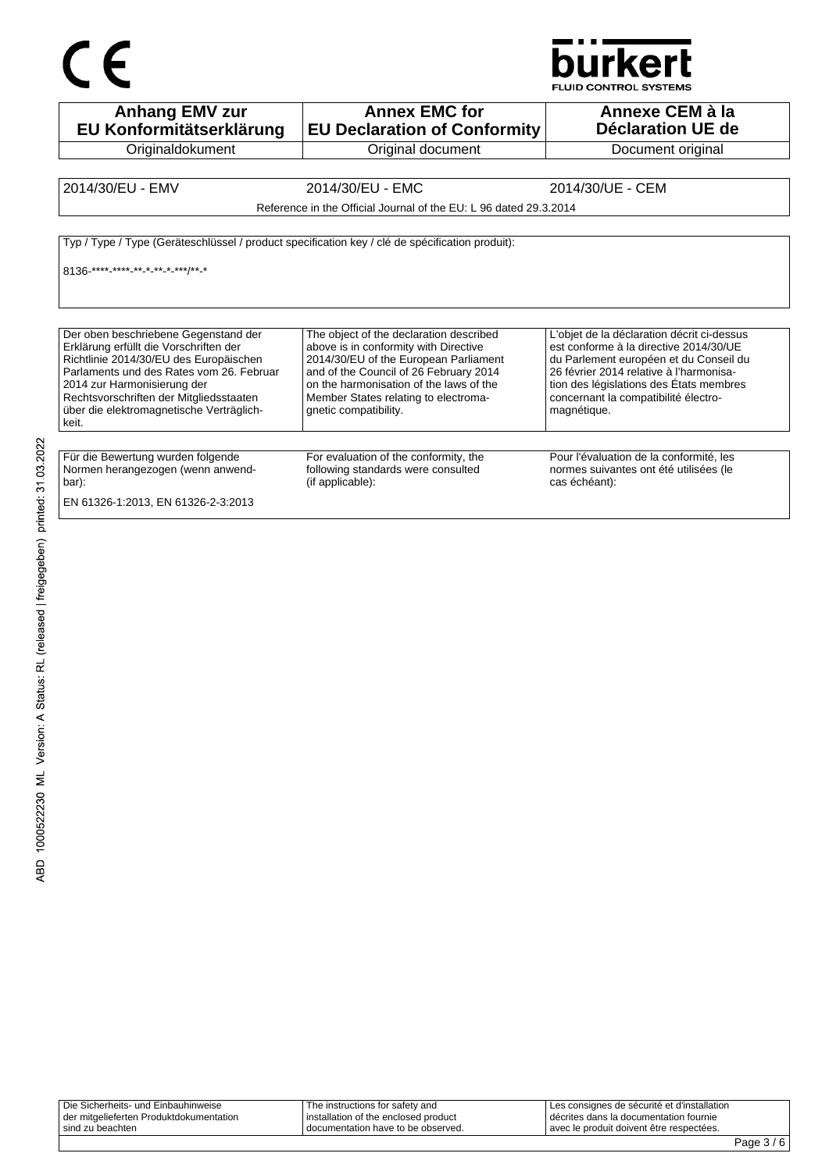## $C \in$



FLUID CONTROL SYSTEMS

| <b>Anhang EMV zur</b><br>EU Konformitätserklärung                                                                                                                                                                                                                                                   | <b>Annex EMC for</b><br><b>EU Declaration of Conformity</b>                                                                                                                                                                                                                     | Annexe CEM à la<br><b>Déclaration UE de</b>                                                                                                                                                                                                                                 |
|-----------------------------------------------------------------------------------------------------------------------------------------------------------------------------------------------------------------------------------------------------------------------------------------------------|---------------------------------------------------------------------------------------------------------------------------------------------------------------------------------------------------------------------------------------------------------------------------------|-----------------------------------------------------------------------------------------------------------------------------------------------------------------------------------------------------------------------------------------------------------------------------|
| Originaldokument                                                                                                                                                                                                                                                                                    | Original document                                                                                                                                                                                                                                                               | Document original                                                                                                                                                                                                                                                           |
| 2014/30/EU - EMV                                                                                                                                                                                                                                                                                    | 2014/30/EU - EMC                                                                                                                                                                                                                                                                | 2014/30/UE - CEM                                                                                                                                                                                                                                                            |
|                                                                                                                                                                                                                                                                                                     | Reference in the Official Journal of the EU: L 96 dated 29.3.2014                                                                                                                                                                                                               |                                                                                                                                                                                                                                                                             |
| Typ / Type / Type (Geräteschlüssel / product specification key / clé de spécification produit):<br>8136 **** **** ** * ** * ***/** *                                                                                                                                                                |                                                                                                                                                                                                                                                                                 |                                                                                                                                                                                                                                                                             |
| Der oben beschriebene Gegenstand der<br>Erklärung erfüllt die Vorschriften der<br>Richtlinie 2014/30/EU des Europäischen<br>Parlaments und des Rates vom 26. Februar<br>2014 zur Harmonisierung der<br>Rechtsvorschriften der Mitgliedsstaaten<br>über die elektromagnetische Verträglich-<br>keit. | The object of the declaration described<br>above is in conformity with Directive<br>2014/30/EU of the European Parliament<br>and of the Council of 26 February 2014<br>on the harmonisation of the laws of the<br>Member States relating to electroma-<br>gnetic compatibility. | L'objet de la déclaration décrit ci-dessus<br>est conforme à la directive 2014/30/UE<br>du Parlement européen et du Conseil du<br>26 février 2014 relative à l'harmonisa-<br>tion des législations des États membres<br>concernant la compatibilité électro-<br>magnétique. |
| Für die Bewertung wurden folgende<br>Normen herangezogen (wenn anwend-<br>bar):                                                                                                                                                                                                                     | For evaluation of the conformity, the<br>following standards were consulted<br>(if applicable):                                                                                                                                                                                 | Pour l'évaluation de la conformité, les<br>normes suivantes ont été utilisées (le<br>cas échéant):                                                                                                                                                                          |

| Die Sicherheits- und Einbauhinweise     | The instructions for safety and      | Les consignes de sécurité et d'installation |
|-----------------------------------------|--------------------------------------|---------------------------------------------|
| der mitgelieferten Produktdokumentation | installation of the enclosed product | I décrites dans la documentation fournie    |
| sind zu beachten                        | I documentation have to be observed. | avec le produit doivent être respectées.    |
|                                         |                                      |                                             |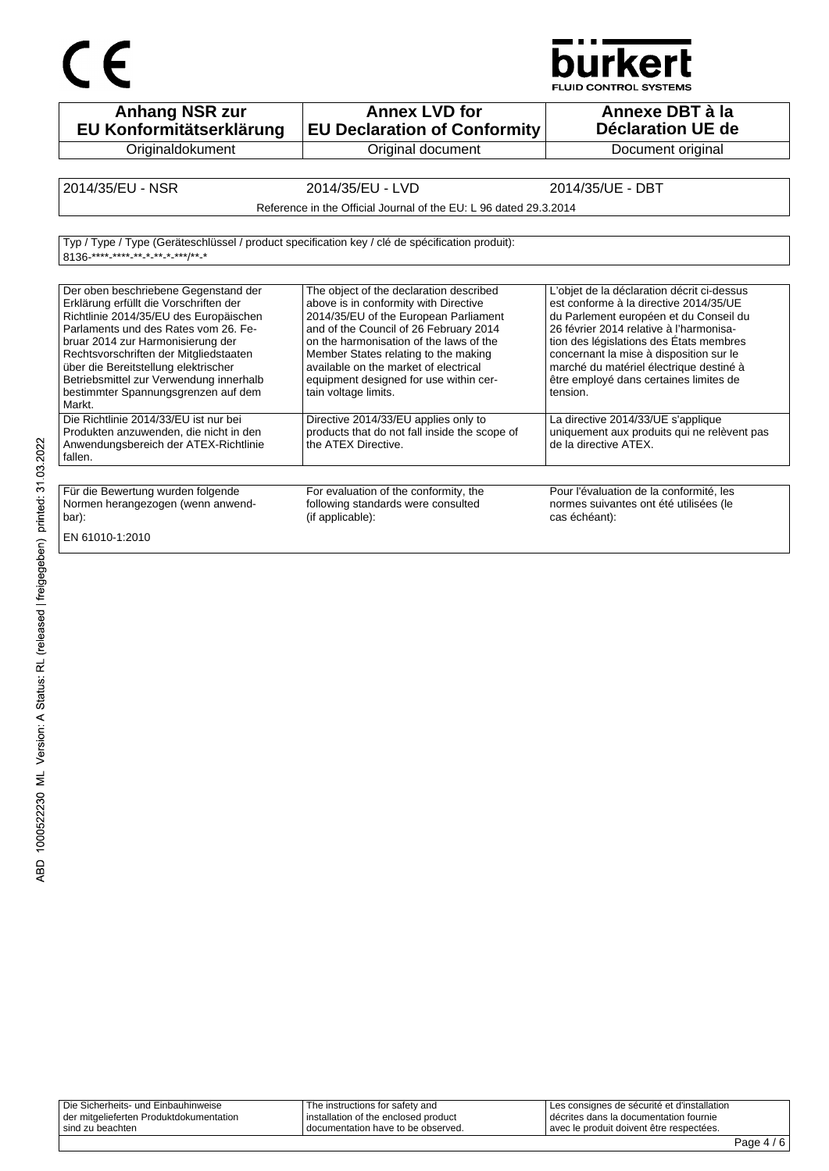## $C \in$



| <b>Anhang NSR zur</b><br>EU Konformitätserklärung                                                                                                                                                                                                                                                                                                                                   | <b>Annex LVD for</b><br><b>EU Declaration of Conformity</b>                                                                                                                                                                                                                                                                                                       | Annexe DBT à la<br><b>Déclaration UE de</b>                                                                                                                                                                                                                                                                                                                      |
|-------------------------------------------------------------------------------------------------------------------------------------------------------------------------------------------------------------------------------------------------------------------------------------------------------------------------------------------------------------------------------------|-------------------------------------------------------------------------------------------------------------------------------------------------------------------------------------------------------------------------------------------------------------------------------------------------------------------------------------------------------------------|------------------------------------------------------------------------------------------------------------------------------------------------------------------------------------------------------------------------------------------------------------------------------------------------------------------------------------------------------------------|
| Originaldokument                                                                                                                                                                                                                                                                                                                                                                    | Original document                                                                                                                                                                                                                                                                                                                                                 | Document original                                                                                                                                                                                                                                                                                                                                                |
|                                                                                                                                                                                                                                                                                                                                                                                     |                                                                                                                                                                                                                                                                                                                                                                   |                                                                                                                                                                                                                                                                                                                                                                  |
| 2014/35/EU - NSR                                                                                                                                                                                                                                                                                                                                                                    | 2014/35/EU - LVD                                                                                                                                                                                                                                                                                                                                                  | 2014/35/UE - DBT                                                                                                                                                                                                                                                                                                                                                 |
|                                                                                                                                                                                                                                                                                                                                                                                     | Reference in the Official Journal of the EU: L 96 dated 29.3.2014                                                                                                                                                                                                                                                                                                 |                                                                                                                                                                                                                                                                                                                                                                  |
|                                                                                                                                                                                                                                                                                                                                                                                     |                                                                                                                                                                                                                                                                                                                                                                   |                                                                                                                                                                                                                                                                                                                                                                  |
| Typ / Type / Type (Geräteschlüssel / product specification key / clé de spécification produit):<br>8136-**** **** ** * * * * ***/** *                                                                                                                                                                                                                                               |                                                                                                                                                                                                                                                                                                                                                                   |                                                                                                                                                                                                                                                                                                                                                                  |
| Der oben beschriebene Gegenstand der<br>Erklärung erfüllt die Vorschriften der<br>Richtlinie 2014/35/EU des Europäischen<br>Parlaments und des Rates vom 26. Fe-<br>bruar 2014 zur Harmonisierung der<br>Rechtsvorschriften der Mitgliedstaaten<br>über die Bereitstellung elektrischer<br>Betriebsmittel zur Verwendung innerhalb<br>bestimmter Spannungsgrenzen auf dem<br>Markt. | The object of the declaration described<br>above is in conformity with Directive<br>2014/35/EU of the European Parliament<br>and of the Council of 26 February 2014<br>on the harmonisation of the laws of the<br>Member States relating to the making<br>available on the market of electrical<br>equipment designed for use within cer-<br>tain voltage limits. | L'objet de la déclaration décrit ci-dessus<br>est conforme à la directive 2014/35/UE<br>du Parlement européen et du Conseil du<br>26 février 2014 relative à l'harmonisa-<br>tion des législations des États membres<br>concernant la mise à disposition sur le<br>marché du matériel électrique destiné à<br>être employé dans certaines limites de<br>tension. |
| Die Richtlinie 2014/33/EU ist nur bei<br>Produkten anzuwenden, die nicht in den<br>Anwendungsbereich der ATEX-Richtlinie<br>fallen.                                                                                                                                                                                                                                                 | Directive 2014/33/EU applies only to<br>products that do not fall inside the scope of<br>the ATEX Directive.                                                                                                                                                                                                                                                      | La directive 2014/33/UE s'applique<br>uniquement aux produits qui ne relèvent pas<br>de la directive ATEX.                                                                                                                                                                                                                                                       |
| Für die Bewertung wurden folgende<br>Normen herangezogen (wenn anwend-<br>bar):                                                                                                                                                                                                                                                                                                     | For evaluation of the conformity, the<br>following standards were consulted<br>(if applicable):                                                                                                                                                                                                                                                                   | Pour l'évaluation de la conformité, les<br>normes suivantes ont été utilisées (le<br>cas échéant):                                                                                                                                                                                                                                                               |
|                                                                                                                                                                                                                                                                                                                                                                                     |                                                                                                                                                                                                                                                                                                                                                                   |                                                                                                                                                                                                                                                                                                                                                                  |

EN 61010-1:2010

| Die Sicherheits- und Einbauhinweise     | The instructions for safety and        | Les consignes de sécurité et d'installation |
|-----------------------------------------|----------------------------------------|---------------------------------------------|
| der mitgelieferten Produktdokumentation | I installation of the enclosed product | I décrites dans la documentation fournie    |
| sind zu beachten                        | documentation have to be observed.     | avec le produit doivent être respectées.    |
|                                         |                                        |                                             |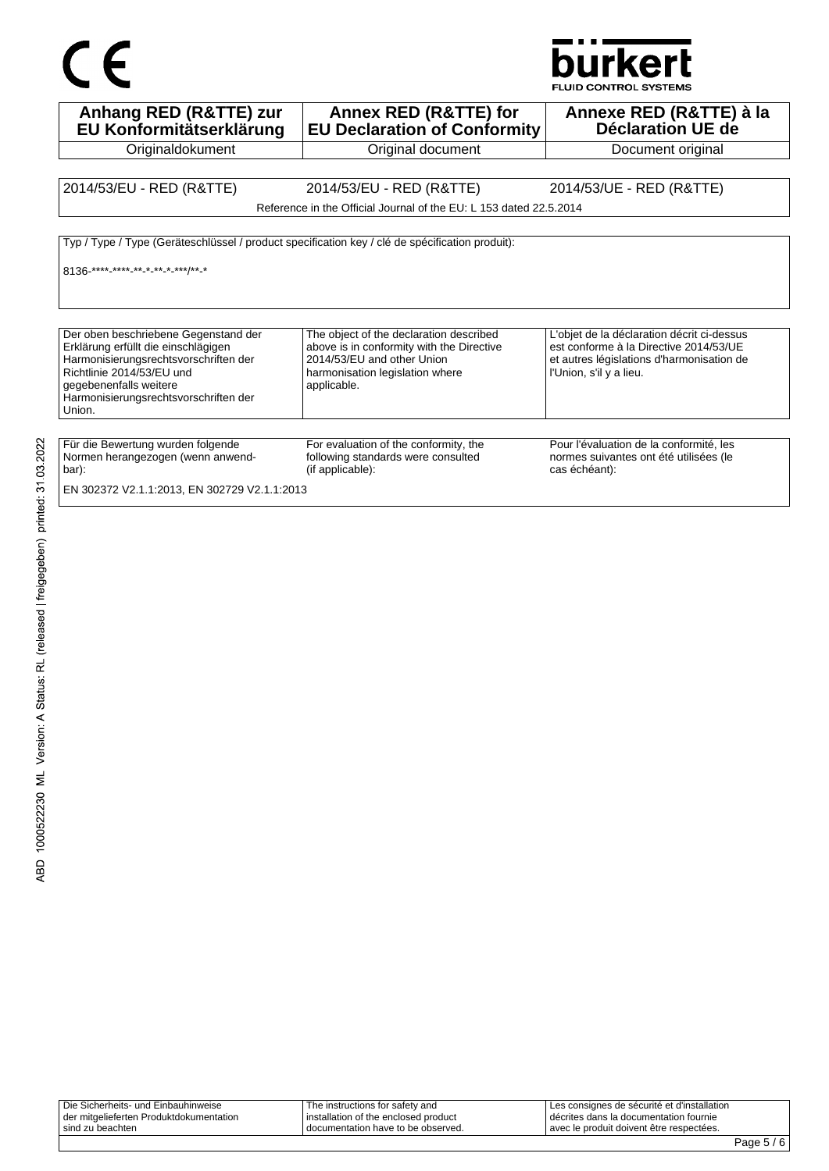



FLUID CONTROL SYSTEMS

| Anhang RED (R&TTE) zur<br>EU Konformitätserklärung                                                                                                                                                                             | Annex RED (R&TTE) for<br><b>EU Declaration of Conformity</b>                                                                                                         | Annexe RED (R&TTE) à la<br><b>Déclaration UE de</b>                                                                                                          |
|--------------------------------------------------------------------------------------------------------------------------------------------------------------------------------------------------------------------------------|----------------------------------------------------------------------------------------------------------------------------------------------------------------------|--------------------------------------------------------------------------------------------------------------------------------------------------------------|
| Originaldokument                                                                                                                                                                                                               | Original document                                                                                                                                                    | Document original                                                                                                                                            |
|                                                                                                                                                                                                                                |                                                                                                                                                                      |                                                                                                                                                              |
| 2014/53/EU - RED (R&TTE)                                                                                                                                                                                                       | 2014/53/EU - RED (R&TTE)                                                                                                                                             | 2014/53/UE - RED (R&TTE)                                                                                                                                     |
|                                                                                                                                                                                                                                | Reference in the Official Journal of the EU: L 153 dated 22.5.2014                                                                                                   |                                                                                                                                                              |
| 8136-****-****-*-*-*-*-***/**-*                                                                                                                                                                                                | Typ / Type / Type (Geräteschlüssel / product specification key / clé de spécification produit):                                                                      |                                                                                                                                                              |
| Der oben beschriebene Gegenstand der<br>Erklärung erfüllt die einschlägigen<br>Harmonisierungsrechtsvorschriften der<br>Richtlinie 2014/53/EU und<br>gegebenenfalls weitere<br>Harmonisierungsrechtsvorschriften der<br>Union. | The object of the declaration described<br>above is in conformity with the Directive<br>2014/53/EU and other Union<br>harmonisation legislation where<br>applicable. | L'objet de la déclaration décrit ci-dessus<br>est conforme à la Directive 2014/53/UE<br>et autres législations d'harmonisation de<br>l'Union, s'il y a lieu. |
| Für die Bewertung wurden folgende<br>Normen herangezogen (wenn anwend-<br>bar):<br>EN 302372 V2.1.1:2013, EN 302729 V2.1.1:2013                                                                                                | For evaluation of the conformity, the<br>following standards were consulted<br>(if applicable):                                                                      | Pour l'évaluation de la conformité, les<br>normes suivantes ont été utilisées (le<br>cas échéant):                                                           |

| Die Sicherheits- und Einbauhinweise     | The instructions for safety and        | ILes consignes de sécurité et d'installation |
|-----------------------------------------|----------------------------------------|----------------------------------------------|
| der mitgelieferten Produktdokumentation | I installation of the enclosed product | décrites dans la documentation fournie       |
| sind zu beachten                        | documentation have to be observed.     | l avec le produit doivent être respectées.   |